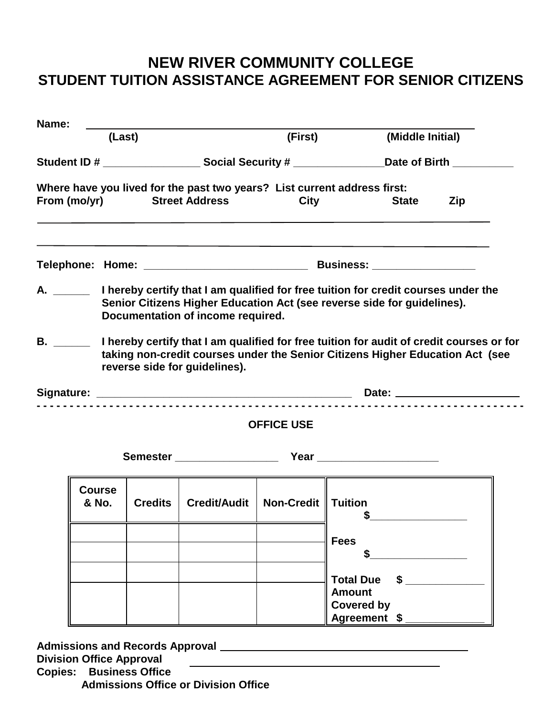## **NEW RIVER COMMUNITY COLLEGE STUDENT TUITION ASSISTANCE AGREEMENT FOR SENIOR CITIZENS**

| Name:                                                                                                                                                                                                                               |                        |                       |                                     |                   |                                                                                                                                                                           |  |  |
|-------------------------------------------------------------------------------------------------------------------------------------------------------------------------------------------------------------------------------------|------------------------|-----------------------|-------------------------------------|-------------------|---------------------------------------------------------------------------------------------------------------------------------------------------------------------------|--|--|
|                                                                                                                                                                                                                                     | (Last)                 |                       |                                     | (First)           | (Middle Initial)                                                                                                                                                          |  |  |
|                                                                                                                                                                                                                                     |                        |                       |                                     |                   | Student ID # _________________________ Social Security # ____________________Date of Birth ______________                                                                 |  |  |
|                                                                                                                                                                                                                                     | From (mo/yr)           | <b>Street Address</b> |                                     | <b>City</b>       | Where have you lived for the past two years? List current address first:<br><b>State</b><br>Zip                                                                           |  |  |
|                                                                                                                                                                                                                                     |                        |                       |                                     |                   |                                                                                                                                                                           |  |  |
|                                                                                                                                                                                                                                     |                        |                       | Documentation of income required.   |                   | A. _______ I hereby certify that I am qualified for free tuition for credit courses under the<br>Senior Citizens Higher Education Act (see reverse side for guidelines).  |  |  |
| <b>B.</b> The contract of the contract of the contract of the contract of the contract of the contract of the contract of the contract of the contract of the contract of the contract of the contract of the contract of the contr |                        |                       | reverse side for guidelines).       |                   | I hereby certify that I am qualified for free tuition for audit of credit courses or for<br>taking non-credit courses under the Senior Citizens Higher Education Act (see |  |  |
|                                                                                                                                                                                                                                     |                        |                       |                                     |                   |                                                                                                                                                                           |  |  |
|                                                                                                                                                                                                                                     |                        |                       |                                     | <b>OFFICE USE</b> |                                                                                                                                                                           |  |  |
|                                                                                                                                                                                                                                     |                        |                       |                                     |                   | Semester Year Year Year                                                                                                                                                   |  |  |
|                                                                                                                                                                                                                                     | <b>Course</b><br>& No. | <b>Credits</b>        | Credit/Audit   Non-Credit   Tuition |                   |                                                                                                                                                                           |  |  |
|                                                                                                                                                                                                                                     |                        |                       |                                     |                   | <b>Fees</b>                                                                                                                                                               |  |  |
|                                                                                                                                                                                                                                     |                        |                       |                                     |                   | <b>Total Due</b><br><b>Amount</b><br><b>Covered by</b><br>Agreement \$                                                                                                    |  |  |

**Admissions and Records Approval Division Office Approval Copies: Business Office Admissions Office or Division Office**